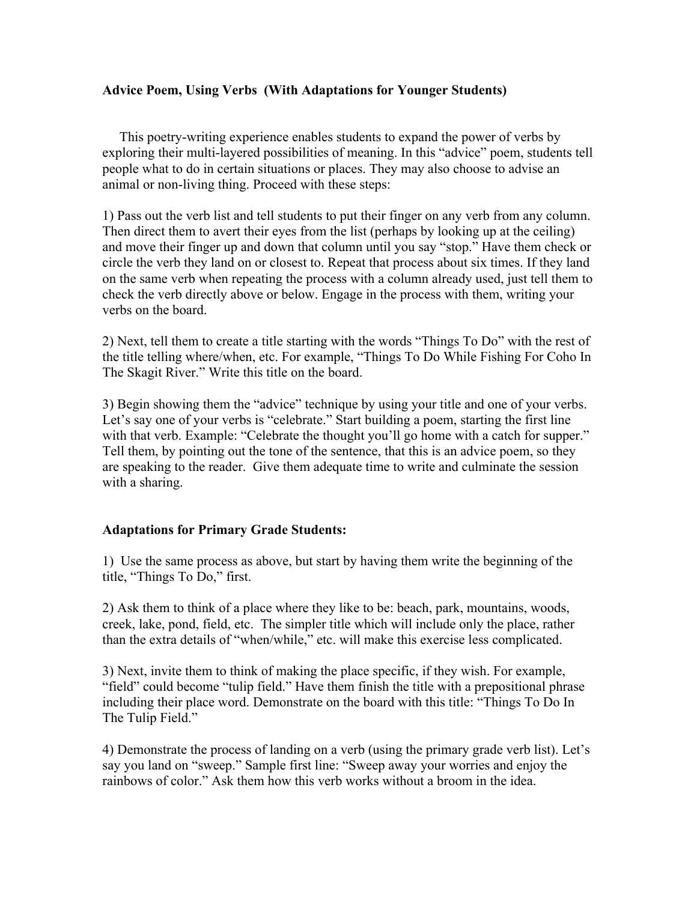# **Advice Poem, Using Verbs (With Adaptations for Younger Students)**

 This poetry-writing experience enables students to expand the power of verbs by exploring their multi-layered possibilities of meaning. In this "advice" poem, students tell people what to do in certain situations or places. They may also choose to advise an animal or non-living thing. Proceed with these steps:

1) Pass out the verb list and tell students to put their finger on any verb from any column. Then direct them to avert their eyes from the list (perhaps by looking up at the ceiling) and move their finger up and down that column until you say "stop." Have them check or circle the verb they land on or closest to. Repeat that process about six times. If they land on the same verb when repeating the process with a column already used, just tell them to check the verb directly above or below. Engage in the process with them, writing your verbs on the board.

2) Next, tell them to create a title starting with the words "Things To Do" with the rest of the title telling where/when, etc. For example, "Things To Do While Fishing For Coho In The Skagit River." Write this title on the board.

3) Begin showing them the "advice" technique by using your title and one of your verbs. Let's say one of your verbs is "celebrate." Start building a poem, starting the first line with that verb. Example: "Celebrate the thought you'll go home with a catch for supper." Tell them, by pointing out the tone of the sentence, that this is an advice poem, so they are speaking to the reader. Give them adequate time to write and culminate the session with a sharing.

# **Adaptations for Primary Grade Students:**

1) Use the same process as above, but start by having them write the beginning of the title, "Things To Do," first.

2) Ask them to think of a place where they like to be: beach, park, mountains, woods, creek, lake, pond, field, etc. The simpler title which will include only the place, rather than the extra details of "when/while," etc. will make this exercise less complicated.

3) Next, invite them to think of making the place specific, if they wish. For example, "field" could become "tulip field." Have them finish the title with a prepositional phrase including their place word. Demonstrate on the board with this title: "Things To Do In The Tulip Field."

4) Demonstrate the process of landing on a verb (using the primary grade verb list). Let's say you land on "sweep." Sample first line: "Sweep away your worries and enjoy the rainbows of color." Ask them how this verb works without a broom in the idea.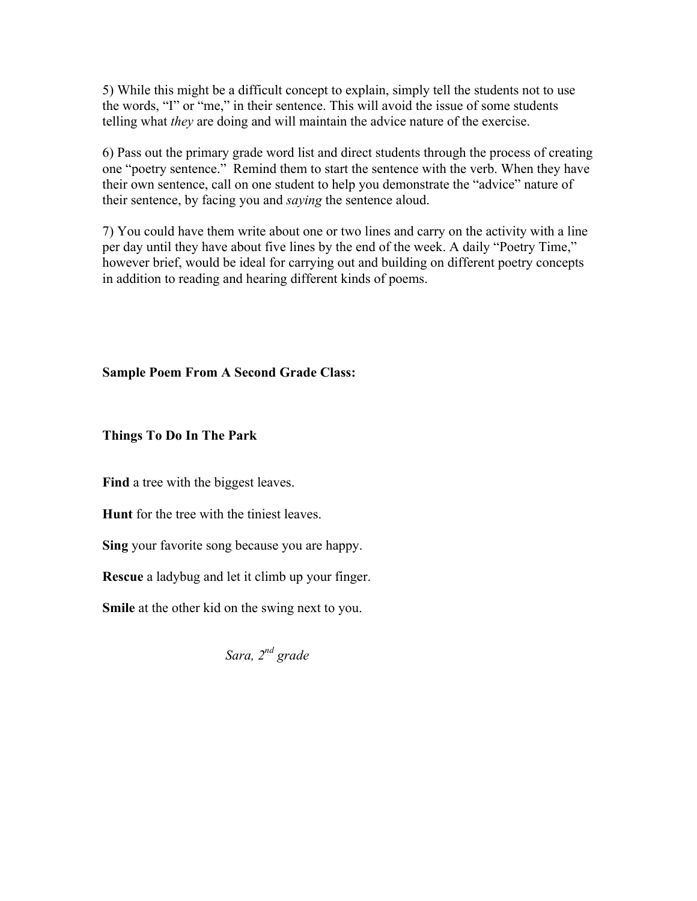5) While this might be a difficult concept to explain, simply tell the students not to use the words, "I" or "me," in their sentence. This will avoid the issue of some students telling what *they* are doing and will maintain the advice nature of the exercise.

6) Pass out the primary grade word list and direct students through the process of creating one "poetry sentence." Remind them to start the sentence with the verb. When they have their own sentence, call on one student to help you demonstrate the "advice" nature of their sentence, by facing you and *saying* the sentence aloud.

7) You could have them write about one or two lines and carry on the activity with a line per day until they have about five lines by the end of the week. A daily "Poetry Time," however brief, would be ideal for carrying out and building on different poetry concepts in addition to reading and hearing different kinds of poems.

**Sample Poem From A Second Grade Class:**

**Things To Do In The Park**

**Find** a tree with the biggest leaves.

**Hunt** for the tree with the tiniest leaves.

**Sing** your favorite song because you are happy.

**Rescue** a ladybug and let it climb up your finger.

**Smile** at the other kid on the swing next to you.

*Sara, 2nd grade*